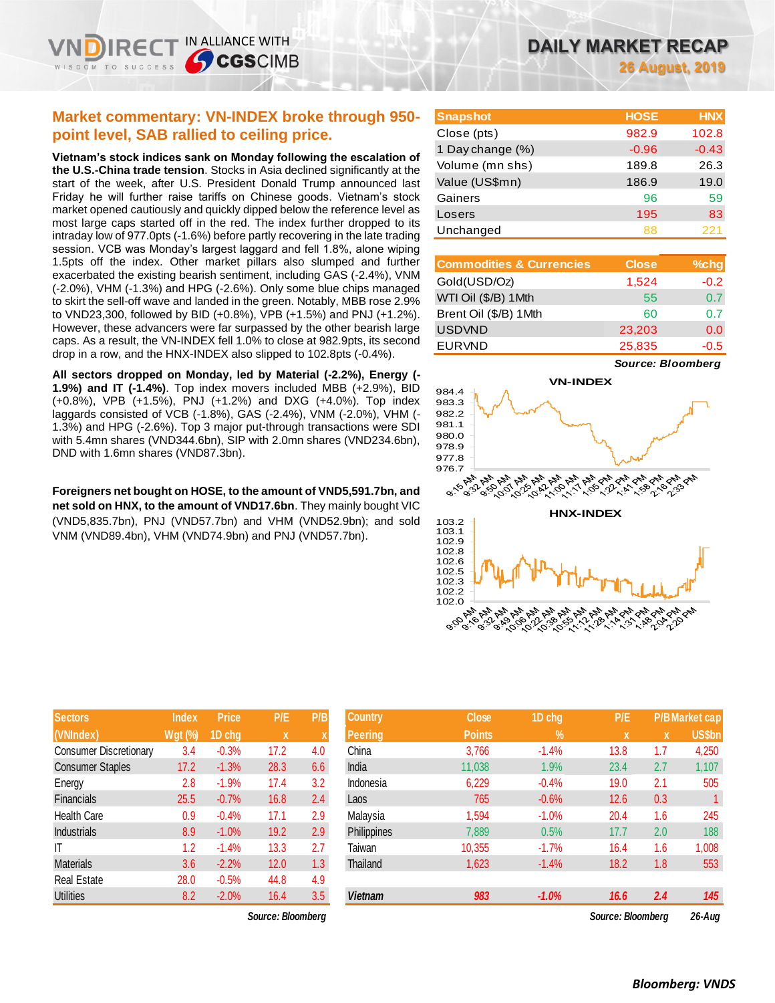**26 August, 2019**

| <b>Market commentary: VN-INDEX broke through 950-</b> |
|-------------------------------------------------------|
| point level, SAB rallied to ceiling price.            |

IN ALLIANCE WITH

**SCGSCIMB** 

**Vietnam's stock indices sank on Monday following the escalation of the U.S.-China trade tension**. Stocks in Asia declined significantly at the start of the week, after U.S. President Donald Trump announced last Friday he will further raise tariffs on Chinese goods. Vietnam's stock market opened cautiously and quickly dipped below the reference level as most large caps started off in the red. The index further dropped to its intraday low of 977.0pts (-1.6%) before partly recovering in the late trading session. VCB was Monday's largest laggard and fell 1.8%, alone wiping 1.5pts off the index. Other market pillars also slumped and further exacerbated the existing bearish sentiment, including GAS (-2.4%), VNM (-2.0%), VHM (-1.3%) and HPG (-2.6%). Only some blue chips managed to skirt the sell-off wave and landed in the green. Notably, MBB rose 2.9% to VND23,300, followed by BID (+0.8%), VPB (+1.5%) and PNJ (+1.2%). However, these advancers were far surpassed by the other bearish large caps. As a result, the VN-INDEX fell 1.0% to close at 982.9pts, its second drop in a row, and the HNX-INDEX also slipped to 102.8pts (-0.4%).

**All sectors dropped on Monday, led by Material (-2.2%), Energy (- 1.9%) and IT (-1.4%)**. Top index movers included MBB (+2.9%), BID (+0.8%), VPB (+1.5%), PNJ (+1.2%) and DXG (+4.0%). Top index laggards consisted of VCB (-1.8%), GAS (-2.4%), VNM (-2.0%), VHM (- 1.3%) and HPG (-2.6%). Top 3 major put-through transactions were SDI with 5.4mn shares (VND344.6bn), SIP with 2.0mn shares (VND234.6bn), DND with 1.6mn shares (VND87.3bn).

**Foreigners net bought on HOSE, to the amount of VND5,591.7bn, and net sold on HNX, to the amount of VND17.6bn**. They mainly bought VIC (VND5,835.7bn), PNJ (VND57.7bn) and VHM (VND52.9bn); and sold VNM (VND89.4bn), VHM (VND74.9bn) and PNJ (VND57.7bn).

| <b>Sectors</b>                | <b>Index</b> | Price   | P/E  | P/B |
|-------------------------------|--------------|---------|------|-----|
| (VNIndex)                     | Wgt (%)      | 1D chg  | X    | X   |
| <b>Consumer Discretionary</b> | 3.4          | $-0.3%$ | 17.2 | 4.0 |
| <b>Consumer Staples</b>       | 17.2         | $-1.3%$ | 28.3 | 6.6 |
| Energy                        | 2.8          | $-1.9%$ | 17.4 | 3.2 |
| <b>Financials</b>             | 25.5         | $-0.7%$ | 16.8 | 2.4 |
| <b>Health Care</b>            | 0.9          | $-0.4%$ | 17.1 | 2.9 |
| <b>Industrials</b>            | 8.9          | $-1.0%$ | 19.2 | 2.9 |
| ΙT                            | 1.2          | $-1.4%$ | 13.3 | 2.7 |
| <b>Materials</b>              | 3.6          | $-2.2%$ | 12.0 | 1.3 |
| <b>Real Estate</b>            | 28.0         | $-0.5%$ | 44.8 | 4.9 |
| <b>Utilities</b>              | 8.2          | $-2.0%$ | 16.4 | 3.5 |

 $Source: Bloomberg$ 

| <b>Snapshot</b>  | <b>HOSE</b> | <b>HNX</b> |
|------------------|-------------|------------|
| Close (pts)      | 982.9       | 102.8      |
| 1 Day change (%) | $-0.96$     | $-0.43$    |
| Volume (mn shs)  | 189.8       | 26.3       |
| Value (US\$mn)   | 186.9       | 19.0       |
| Gainers          | 96          | 59         |
| Losers           | 195         | 83         |
| Unchanged        | 88          | 221        |

| <b>Commodities &amp; Currencies</b> | <b>Close</b> | $%$ chg |
|-------------------------------------|--------------|---------|
| Gold(USD/Oz)                        | 1,524        | $-0.2$  |
| WTI Oil (\$/B) 1 Mth                | 55           | 0.7     |
| Brent Oil (\$/B) 1Mth               | 60           | 0.7     |
| <b>USDVND</b>                       | 23,203       | 0.0     |
| <b>EURVND</b>                       | 25,835       | $-0.5$  |

*Source: Bloomberg*



| <b>Sectors</b>          | <b>Index</b> | <b>Price</b> | P/E               | P/B           | <b>Country</b> | <b>Close</b>  | 1D chg  | P/E               |             | <b>P/B Market cap</b> |
|-------------------------|--------------|--------------|-------------------|---------------|----------------|---------------|---------|-------------------|-------------|-----------------------|
| (VNIndex)               | Wgt (%)      | 1D chg       | $\mathbf{x}$      |               | <b>Peering</b> | <b>Points</b> | $\%$    | X                 | $\mathbf x$ | <b>US\$bn</b>         |
| Consumer Discretionary  | 3.4          | $-0.3%$      | 17.2              | 4.0           | China          | 3,766         | $-1.4%$ | 13.8              | 1.7         | 4,250                 |
| <b>Consumer Staples</b> | 17.2         | $-1.3%$      | 28.3              | 6.6           | India          | 11,038        | 1.9%    | 23.4              | 2.7         | 1,107                 |
| Energy                  | 2.8          | $-1.9%$      | 17.4              | 3.2           | Indonesia      | 6,229         | $-0.4%$ | 19.0              | 2.1         | 505                   |
| Financials              | 25.5         | $-0.7%$      | 16.8              | $2.4^{\circ}$ | Laos           | 765           | $-0.6%$ | 12.6              | 0.3         |                       |
| Health Care             | 0.9          | $-0.4%$      | 17.1              | 2.9           | Malaysia       | 1,594         | $-1.0%$ | 20.4              | 1.6         | 245                   |
| <b>Industrials</b>      | 8.9          | $-1.0%$      | 19.2              | 2.9           | Philippines    | 7,889         | 0.5%    | 17.7              | 2.0         | 188                   |
| ΙT                      | 1.2          | $-1.4%$      | 13.3              | 2.7           | Taiwan         | 10,355        | $-1.7%$ | 16.4              | 1.6         | 1,008                 |
| <b>Materials</b>        | 3.6          | $-2.2%$      | 12.0              | 1.3           | Thailand       | 1,623         | $-1.4%$ | 18.2              | 1.8         | 553                   |
| Real Estate             | 28.0         | $-0.5%$      | 44.8              | 4.9           |                |               |         |                   |             |                       |
| <b>Utilities</b>        | 8.2          | $-2.0%$      | 16.4              | 3.5           | <b>Vietnam</b> | 983           | $-1.0%$ | 16.6              | 2.4         | 145                   |
|                         |              |              | Source: Bloomberg |               |                |               |         | Source: Bloombera |             | $26 - Aug$            |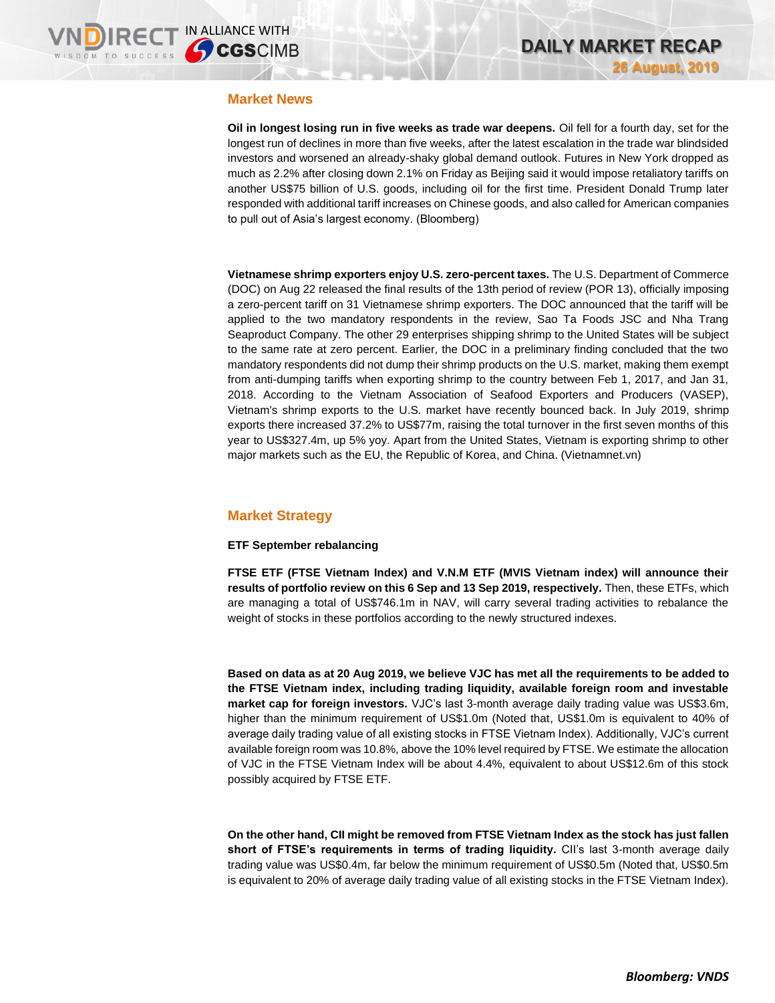### **Market News**

**Oil in longest losing run in five weeks as trade war deepens.** Oil fell for a fourth day, set for the longest run of declines in more than five weeks, after the latest escalation in the trade war blindsided investors and worsened an already-shaky global demand outlook. Futures in New York dropped as much as 2.2% after closing down 2.1% on Friday as Beijing said it would impose retaliatory tariffs on another US\$75 billion of U.S. goods, including oil for the first time. President Donald Trump later responded with additional tariff increases on Chinese goods, and also called for American companies to pull out of Asia's largest economy. (Bloomberg)

**Vietnamese shrimp exporters enjoy U.S. zero-percent taxes.** The U.S. Department of Commerce (DOC) on Aug 22 released the final results of the 13th period of review (POR 13), officially imposing a zero-percent tariff on 31 Vietnamese shrimp exporters. The DOC announced that the tariff will be applied to the two mandatory respondents in the review, Sao Ta Foods JSC and Nha Trang Seaproduct Company. The other 29 enterprises shipping shrimp to the United States will be subject to the same rate at zero percent. Earlier, the DOC in a preliminary finding concluded that the two mandatory respondents did not dump their shrimp products on the U.S. market, making them exempt from anti-dumping tariffs when exporting shrimp to the country between Feb 1, 2017, and Jan 31, 2018. According to the Vietnam Association of Seafood Exporters and Producers (VASEP), Vietnam's shrimp exports to the U.S. market have recently bounced back. In July 2019, shrimp exports there increased 37.2% to US\$77m, raising the total turnover in the first seven months of this year to US\$327.4m, up 5% yoy. Apart from the United States, Vietnam is exporting shrimp to other major markets such as the EU, the Republic of Korea, and China. (Vietnamnet.vn)

# **Market Strategy**

### **ETF September rebalancing**

**FTSE ETF (FTSE Vietnam Index) and V.N.M ETF (MVIS Vietnam index) will announce their results of portfolio review on this 6 Sep and 13 Sep 2019, respectively.** Then, these ETFs, which are managing a total of US\$746.1m in NAV, will carry several trading activities to rebalance the weight of stocks in these portfolios according to the newly structured indexes.

**Based on data as at 20 Aug 2019, we believe VJC has met all the requirements to be added to the FTSE Vietnam index, including trading liquidity, available foreign room and investable market cap for foreign investors.** VJC's last 3-month average daily trading value was US\$3.6m, higher than the minimum requirement of US\$1.0m (Noted that, US\$1.0m is equivalent to 40% of average daily trading value of all existing stocks in FTSE Vietnam Index). Additionally, VJC's current available foreign room was 10.8%, above the 10% level required by FTSE. We estimate the allocation of VJC in the FTSE Vietnam Index will be about 4.4%, equivalent to about US\$12.6m of this stock possibly acquired by FTSE ETF.

**On the other hand, CII might be removed from FTSE Vietnam Index as the stock has just fallen short of FTSE's requirements in terms of trading liquidity.** CII's last 3-month average daily trading value was US\$0.4m, far below the minimum requirement of US\$0.5m (Noted that, US\$0.5m is equivalent to 20% of average daily trading value of all existing stocks in the FTSE Vietnam Index).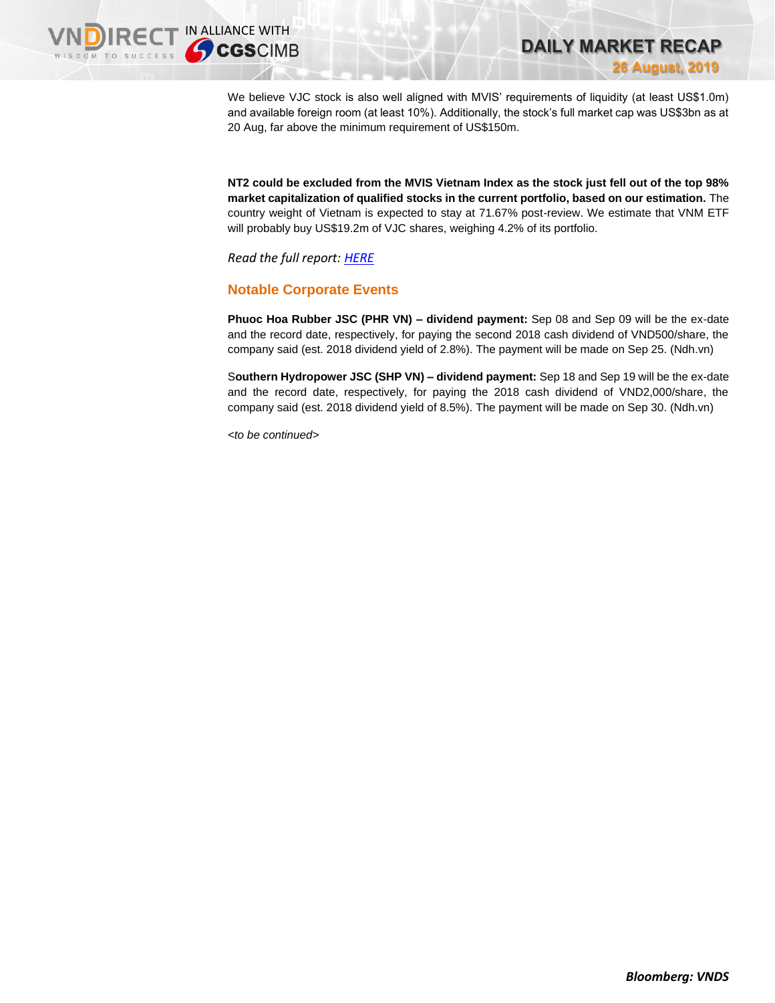**DAILY MARKET RECAP 26 August, 2019**

We believe VJC stock is also well aligned with MVIS' requirements of liquidity (at least US\$1.0m) and available foreign room (at least 10%). Additionally, the stock's full market cap was US\$3bn as at 20 Aug, far above the minimum requirement of US\$150m.

**NT2 could be excluded from the MVIS Vietnam Index as the stock just fell out of the top 98% market capitalization of qualified stocks in the current portfolio, based on our estimation.** The country weight of Vietnam is expected to stay at 71.67% post-review. We estimate that VNM ETF will probably buy US\$19.2m of VJC shares, weighing 4.2% of its portfolio.

*Read the full report: [HERE](https://nhanha-public-api.vndirect.com.vn/click/OGE0ODlmZDA2ODYwMjZlMjAxNjg5OGJlM2IzNDMxODU=/Zjk5M2M4YTA2MzFlNDAyN2I5NjMzNjIwNWY4ZDg5NTQ=/f993c8a0631e4027b96336205f8d8954-ETFMonitor_3Q19_20190826.pdf/cmVzZWFyY2hAdm5kaXJlY3QuY29tLnZu/NzgyMA==)*

# **Notable Corporate Events**

**Phuoc Hoa Rubber JSC (PHR VN) – dividend payment:** Sep 08 and Sep 09 will be the ex-date and the record date, respectively, for paying the second 2018 cash dividend of VND500/share, the company said (est. 2018 dividend yield of 2.8%). The payment will be made on Sep 25. (Ndh.vn)

S**outhern Hydropower JSC (SHP VN) – dividend payment:** Sep 18 and Sep 19 will be the ex-date and the record date, respectively, for paying the 2018 cash dividend of VND2,000/share, the company said (est. 2018 dividend yield of 8.5%). The payment will be made on Sep 30. (Ndh.vn)

*<to be continued>*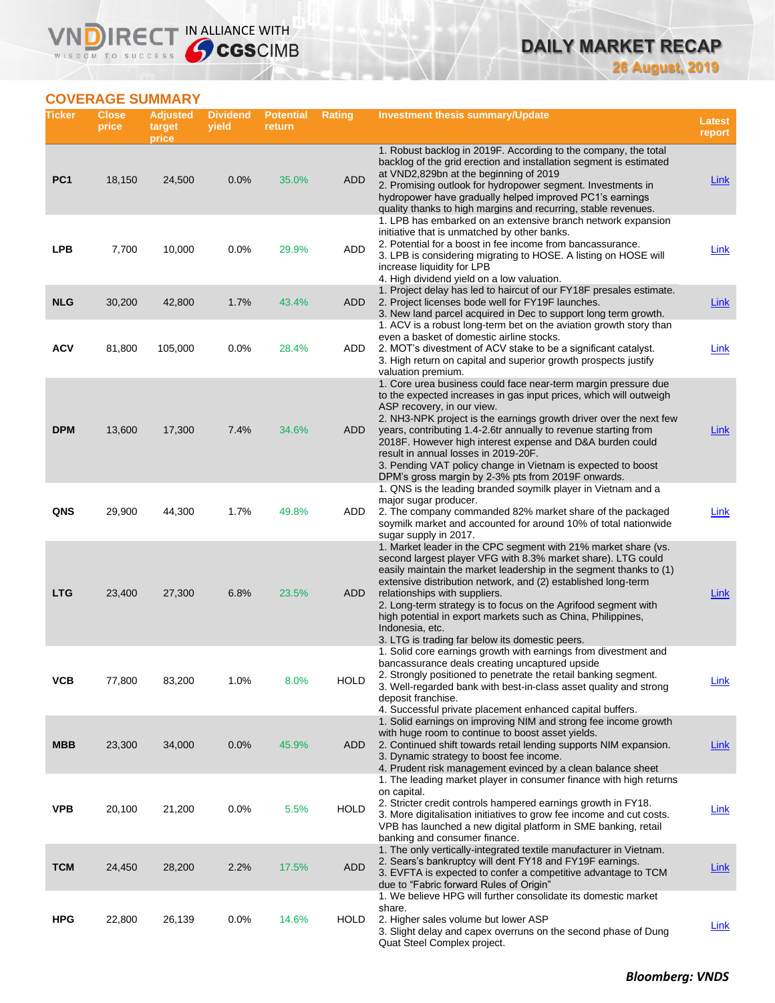# **DAILY MARKET RECAP 26 August, 2019**

## **COVERAGE SUMMARY**

WISDOM TO SUCCESS

VND

**IRECT IN ALLIANCE WITH** 

| Ticker          | <b>Close</b><br>price | <b>Adjusted</b><br>target<br>price | <b>Dividend</b><br>yield | <b>Potential</b><br>return | <b>Rating</b> | Investment thesis summary/Update                                                                                                                                                                                                                                                                                                                                                                                                                                                                                                       | <b>Latest</b><br>report |
|-----------------|-----------------------|------------------------------------|--------------------------|----------------------------|---------------|----------------------------------------------------------------------------------------------------------------------------------------------------------------------------------------------------------------------------------------------------------------------------------------------------------------------------------------------------------------------------------------------------------------------------------------------------------------------------------------------------------------------------------------|-------------------------|
| PC <sub>1</sub> | 18,150                | 24,500                             | 0.0%                     | 35.0%                      | <b>ADD</b>    | 1. Robust backlog in 2019F. According to the company, the total<br>backlog of the grid erection and installation segment is estimated<br>at VND2,829bn at the beginning of 2019<br>2. Promising outlook for hydropower segment. Investments in<br>hydropower have gradually helped improved PC1's earnings<br>quality thanks to high margins and recurring, stable revenues.                                                                                                                                                           | Link                    |
| LPB             | 7,700                 | 10,000                             | 0.0%                     | 29.9%                      | ADD           | 1. LPB has embarked on an extensive branch network expansion<br>initiative that is unmatched by other banks.<br>2. Potential for a boost in fee income from bancassurance.<br>3. LPB is considering migrating to HOSE. A listing on HOSE will<br>increase liquidity for LPB<br>4. High dividend yield on a low valuation.                                                                                                                                                                                                              | Link                    |
| <b>NLG</b>      | 30,200                | 42,800                             | 1.7%                     | 43.4%                      | <b>ADD</b>    | 1. Project delay has led to haircut of our FY18F presales estimate.<br>2. Project licenses bode well for FY19F launches.<br>3. New land parcel acquired in Dec to support long term growth.<br>1. ACV is a robust long-term bet on the aviation growth story than                                                                                                                                                                                                                                                                      | <u>Link</u>             |
| ACV             | 81,800                | 105,000                            | 0.0%                     | 28.4%                      | ADD           | even a basket of domestic airline stocks.<br>2. MOT's divestment of ACV stake to be a significant catalyst.<br>3. High return on capital and superior growth prospects justify<br>valuation premium.                                                                                                                                                                                                                                                                                                                                   | <b>Link</b>             |
| <b>DPM</b>      | 13,600                | 17,300                             | 7.4%                     | 34.6%                      | <b>ADD</b>    | 1. Core urea business could face near-term margin pressure due<br>to the expected increases in gas input prices, which will outweigh<br>ASP recovery, in our view.<br>2. NH3-NPK project is the earnings growth driver over the next few<br>years, contributing 1.4-2.6tr annually to revenue starting from<br>2018F. However high interest expense and D&A burden could<br>result in annual losses in 2019-20F.<br>3. Pending VAT policy change in Vietnam is expected to boost<br>DPM's gross margin by 2-3% pts from 2019F onwards. | Link                    |
| QNS             | 29,900                | 44,300                             | 1.7%                     | 49.8%                      | ADD           | 1. QNS is the leading branded soymilk player in Vietnam and a<br>major sugar producer.<br>2. The company commanded 82% market share of the packaged<br>soymilk market and accounted for around 10% of total nationwide<br>sugar supply in 2017.                                                                                                                                                                                                                                                                                        | Link                    |
| <b>LTG</b>      | 23,400                | 27,300                             | 6.8%                     | 23.5%                      | <b>ADD</b>    | 1. Market leader in the CPC segment with 21% market share (vs.<br>second largest player VFG with 8.3% market share). LTG could<br>easily maintain the market leadership in the segment thanks to (1)<br>extensive distribution network, and (2) established long-term<br>relationships with suppliers.<br>2. Long-term strategy is to focus on the Agrifood segment with<br>high potential in export markets such as China, Philippines,<br>Indonesia, etc.<br>3. LTG is trading far below its domestic peers.                         | Link                    |
| ѵсв             | 77,800                | 83,200                             | 1.0%                     | $8.0\%$                    | <b>HOLD</b>   | 1. Solid core earnings growth with earnings from divestment and<br>bancassurance deals creating uncaptured upside<br>2. Strongly positioned to penetrate the retail banking segment.<br>3. Well-regarded bank with best-in-class asset quality and strong<br>deposit franchise.<br>4. Successful private placement enhanced capital buffers.                                                                                                                                                                                           | LINK                    |
| <b>MBB</b>      | 23,300                | 34,000                             | 0.0%                     | 45.9%                      | ADD           | 1. Solid earnings on improving NIM and strong fee income growth<br>with huge room to continue to boost asset yields.<br>2. Continued shift towards retail lending supports NIM expansion.<br>3. Dynamic strategy to boost fee income.<br>4. Prudent risk management evinced by a clean balance sheet                                                                                                                                                                                                                                   | Link                    |
| <b>VPB</b>      | 20,100                | 21,200                             | 0.0%                     | 5.5%                       | <b>HOLD</b>   | 1. The leading market player in consumer finance with high returns<br>on capital.<br>2. Stricter credit controls hampered earnings growth in FY18.<br>3. More digitalisation initiatives to grow fee income and cut costs.<br>VPB has launched a new digital platform in SME banking, retail<br>banking and consumer finance.                                                                                                                                                                                                          | <u>Link</u>             |
| <b>TCM</b>      | 24,450                | 28,200                             | 2.2%                     | 17.5%                      | <b>ADD</b>    | 1. The only vertically-integrated textile manufacturer in Vietnam.<br>2. Sears's bankruptcy will dent FY18 and FY19F earnings.<br>3. EVFTA is expected to confer a competitive advantage to TCM<br>due to "Fabric forward Rules of Origin"                                                                                                                                                                                                                                                                                             | <b>Link</b>             |
| <b>HPG</b>      | 22,800                | 26,139                             | 0.0%                     | 14.6%                      | <b>HOLD</b>   | 1. We believe HPG will further consolidate its domestic market<br>share.<br>2. Higher sales volume but lower ASP<br>3. Slight delay and capex overruns on the second phase of Dung<br>Quat Steel Complex project.                                                                                                                                                                                                                                                                                                                      | <b>Link</b>             |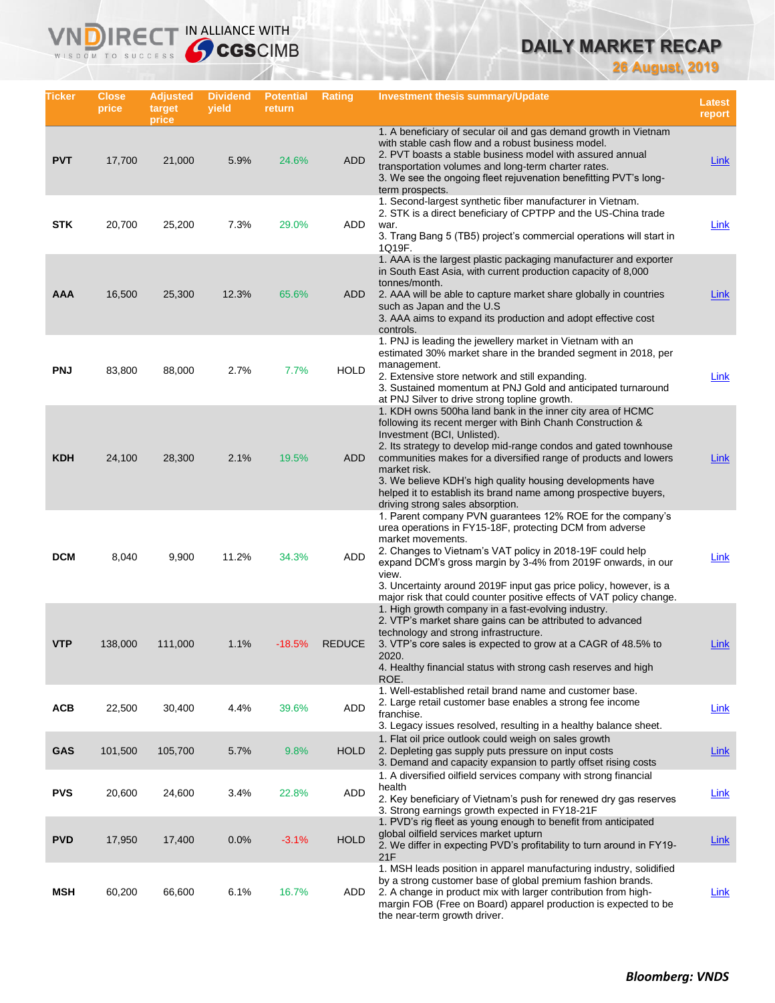# **DAILY MARKET RECAP**

**26 August, 2019**

| Ticker     | <b>Close</b><br>price | <b>Adjusted</b><br>target<br>price | <b>Dividend</b><br>yield | <b>Potential</b><br>return | Rating        | <b>Investment thesis summary/Update</b>                                                                                                                                                                                                                                                                                                                                                                                                                                             | <b>Latest</b><br>report |
|------------|-----------------------|------------------------------------|--------------------------|----------------------------|---------------|-------------------------------------------------------------------------------------------------------------------------------------------------------------------------------------------------------------------------------------------------------------------------------------------------------------------------------------------------------------------------------------------------------------------------------------------------------------------------------------|-------------------------|
| <b>PVT</b> | 17,700                | 21,000                             | 5.9%                     | 24.6%                      | <b>ADD</b>    | 1. A beneficiary of secular oil and gas demand growth in Vietnam<br>with stable cash flow and a robust business model.<br>2. PVT boasts a stable business model with assured annual<br>transportation volumes and long-term charter rates.<br>3. We see the ongoing fleet rejuvenation benefitting PVT's long-<br>term prospects.                                                                                                                                                   | Link                    |
| <b>STK</b> | 20,700                | 25,200                             | 7.3%                     | 29.0%                      | ADD           | 1. Second-largest synthetic fiber manufacturer in Vietnam.<br>2. STK is a direct beneficiary of CPTPP and the US-China trade<br>war.<br>3. Trang Bang 5 (TB5) project's commercial operations will start in<br>1Q19F.                                                                                                                                                                                                                                                               | Link                    |
| <b>AAA</b> | 16,500                | 25,300                             | 12.3%                    | 65.6%                      | <b>ADD</b>    | 1. AAA is the largest plastic packaging manufacturer and exporter<br>in South East Asia, with current production capacity of 8,000<br>tonnes/month.<br>2. AAA will be able to capture market share globally in countries<br>such as Japan and the U.S.<br>3. AAA aims to expand its production and adopt effective cost<br>controls.                                                                                                                                                | Link                    |
| <b>PNJ</b> | 83,800                | 88,000                             | 2.7%                     | 7.7%                       | <b>HOLD</b>   | 1. PNJ is leading the jewellery market in Vietnam with an<br>estimated 30% market share in the branded segment in 2018, per<br>management.<br>2. Extensive store network and still expanding.<br>3. Sustained momentum at PNJ Gold and anticipated turnaround<br>at PNJ Silver to drive strong topline growth.                                                                                                                                                                      | <b>Link</b>             |
| <b>KDH</b> | 24,100                | 28,300                             | 2.1%                     | 19.5%                      | <b>ADD</b>    | 1. KDH owns 500ha land bank in the inner city area of HCMC<br>following its recent merger with Binh Chanh Construction &<br>Investment (BCI, Unlisted).<br>2. Its strategy to develop mid-range condos and gated townhouse<br>communities makes for a diversified range of products and lowers<br>market risk.<br>3. We believe KDH's high quality housing developments have<br>helped it to establish its brand name among prospective buyers,<br>driving strong sales absorption. | Link                    |
| <b>DCM</b> | 8,040                 | 9,900                              | 11.2%                    | 34.3%                      | <b>ADD</b>    | 1. Parent company PVN guarantees 12% ROE for the company's<br>urea operations in FY15-18F, protecting DCM from adverse<br>market movements.<br>2. Changes to Vietnam's VAT policy in 2018-19F could help<br>expand DCM's gross margin by 3-4% from 2019F onwards, in our<br>view.<br>3. Uncertainty around 2019F input gas price policy, however, is a<br>major risk that could counter positive effects of VAT policy change.                                                      | <u>Link</u>             |
| <b>VTP</b> | 138,000               | 111,000                            | 1.1%                     | $-18.5%$                   | <b>REDUCE</b> | 1. High growth company in a fast-evolving industry.<br>2. VTP's market share gains can be attributed to advanced<br>technology and strong infrastructure.<br>3. VTP's core sales is expected to grow at a CAGR of 48.5% to<br>2020.<br>4. Healthy financial status with strong cash reserves and high<br>ROE.                                                                                                                                                                       | Link                    |
| <b>ACB</b> | 22,500                | 30,400                             | 4.4%                     | 39.6%                      | ADD           | 1. Well-established retail brand name and customer base.<br>2. Large retail customer base enables a strong fee income<br>franchise.<br>3. Legacy issues resolved, resulting in a healthy balance sheet.                                                                                                                                                                                                                                                                             | <b>Link</b>             |
| <b>GAS</b> | 101,500               | 105,700                            | 5.7%                     | 9.8%                       | <b>HOLD</b>   | 1. Flat oil price outlook could weigh on sales growth<br>2. Depleting gas supply puts pressure on input costs<br>3. Demand and capacity expansion to partly offset rising costs                                                                                                                                                                                                                                                                                                     | <b>Link</b>             |
| <b>PVS</b> | 20,600                | 24,600                             | 3.4%                     | 22.8%                      | <b>ADD</b>    | 1. A diversified oilfield services company with strong financial<br>health<br>2. Key beneficiary of Vietnam's push for renewed dry gas reserves<br>3. Strong earnings growth expected in FY18-21F                                                                                                                                                                                                                                                                                   | <b>Link</b>             |
| <b>PVD</b> | 17,950                | 17,400                             | 0.0%                     | $-3.1%$                    | <b>HOLD</b>   | 1. PVD's rig fleet as young enough to benefit from anticipated<br>global oilfield services market upturn<br>2. We differ in expecting PVD's profitability to turn around in FY19-<br>21F                                                                                                                                                                                                                                                                                            | <u>Link</u>             |
| MSH        | 60,200                | 66,600                             | 6.1%                     | 16.7%                      | ADD           | 1. MSH leads position in apparel manufacturing industry, solidified<br>by a strong customer base of global premium fashion brands.<br>2. A change in product mix with larger contribution from high-<br>margin FOB (Free on Board) apparel production is expected to be<br>the near-term growth driver.                                                                                                                                                                             | Link                    |

IRECT IN ALLIANCE WITH

VND

WISDOM TO SUCCESS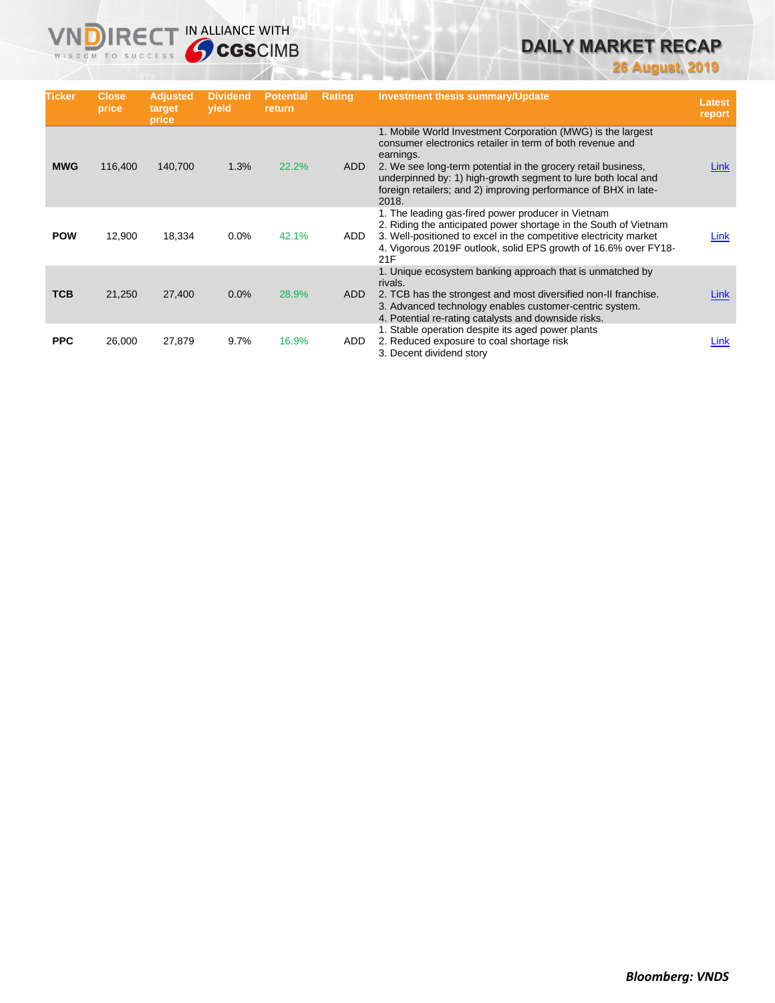# **DAILY MARKET RECAP**

**26 August, 2019**

| <b>Ticker</b> | <b>Close</b><br>price | <b>Adjusted</b><br>target<br>price | <b>Dividend</b><br>vield | <b>Potential</b><br>return | <b>Rating</b> | <b>Investment thesis summary/Update</b>                                                                                                                                                                                                                                                                                                             | <b>Latest</b><br>report |
|---------------|-----------------------|------------------------------------|--------------------------|----------------------------|---------------|-----------------------------------------------------------------------------------------------------------------------------------------------------------------------------------------------------------------------------------------------------------------------------------------------------------------------------------------------------|-------------------------|
| <b>MWG</b>    | 116,400               | 140,700                            | 1.3%                     | 22.2%                      | <b>ADD</b>    | 1. Mobile World Investment Corporation (MWG) is the largest<br>consumer electronics retailer in term of both revenue and<br>earnings.<br>2. We see long-term potential in the grocery retail business,<br>underpinned by: 1) high-growth segment to lure both local and<br>foreign retailers; and 2) improving performance of BHX in late-<br>2018. | Link                    |
| <b>POW</b>    | 12,900                | 18,334                             | $0.0\%$                  | 42.1%                      | ADD.          | 1. The leading gas-fired power producer in Vietnam<br>2. Riding the anticipated power shortage in the South of Vietnam<br>3. Well-positioned to excel in the competitive electricity market<br>4. Vigorous 2019F outlook, solid EPS growth of 16.6% over FY18-<br>21F                                                                               | Link                    |
| <b>TCB</b>    | 21,250                | 27,400                             | 0.0%                     | 28.9%                      | ADD           | 1. Unique ecosystem banking approach that is unmatched by<br>rivals.<br>2. TCB has the strongest and most diversified non-II franchise.<br>3. Advanced technology enables customer-centric system.<br>4. Potential re-rating catalysts and downside risks.                                                                                          | Link                    |
| <b>PPC</b>    | 26,000                | 27,879                             | 9.7%                     | 16.9%                      | ADD           | 1. Stable operation despite its aged power plants<br>2. Reduced exposure to coal shortage risk<br>3. Decent dividend story                                                                                                                                                                                                                          | Link                    |

**VNDIRECT IN ALLIANCE WITH**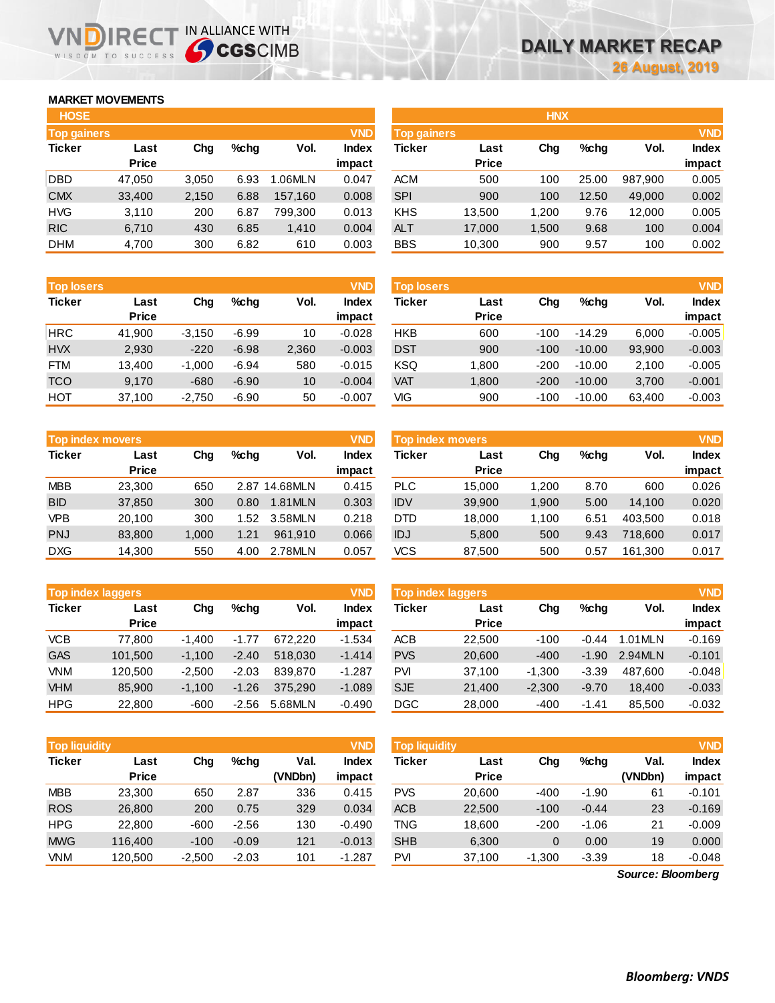## **MARKET MOVEMENTS**

WISDOM TO SUCCESS

הו

| <b>HOSE</b>        |              |       |      |         |              |
|--------------------|--------------|-------|------|---------|--------------|
| <b>Top gainers</b> |              |       |      |         | <b>VND</b>   |
| <b>Ticker</b>      | Last         | Cha   | %chq | Vol.    | <b>Index</b> |
|                    | <b>Price</b> |       |      |         | impact       |
| <b>DBD</b>         | 47,050       | 3,050 | 6.93 | 1.06MLN | 0.047        |
| <b>CMX</b>         | 33,400       | 2,150 | 6.88 | 157,160 | 0.008        |
| <b>HVG</b>         | 3,110        | 200   | 6.87 | 799.300 | 0.013        |
| <b>RIC</b>         | 6,710        | 430   | 6.85 | 1,410   | 0.004        |
| <b>DHM</b>         | 4,700        | 300   | 6.82 | 610     | 0.003        |

**IRECT IN ALLIANCE WITH** 

| <b>Top losers</b> |              |          |         |       | <b>VND</b>   |
|-------------------|--------------|----------|---------|-------|--------------|
| <b>Ticker</b>     | Last         | Cha      | %chq    | Vol.  | <b>Index</b> |
|                   | <b>Price</b> |          |         |       | impact       |
| <b>HRC</b>        | 41,900       | $-3,150$ | $-6.99$ | 10    | $-0.028$     |
| <b>HVX</b>        | 2.930        | $-220$   | $-6.98$ | 2,360 | $-0.003$     |
| <b>FTM</b>        | 13,400       | $-1,000$ | $-6.94$ | 580   | $-0.015$     |
| <b>TCO</b>        | 9,170        | $-680$   | $-6.90$ | 10    | $-0.004$     |
| HOT               | 37,100       | $-2,750$ | $-6.90$ | 50    | $-0.007$     |

| <b>Top index movers</b> | <b>VND</b>   |       |      |               |              |
|-------------------------|--------------|-------|------|---------------|--------------|
| <b>Ticker</b>           | Last         | Cha   | %chq | Vol.          | <b>Index</b> |
|                         | <b>Price</b> |       |      |               | impact       |
| <b>MBB</b>              | 23,300       | 650   |      | 2.87 14.68MLN | 0.415        |
| <b>BID</b>              | 37,850       | 300   | 0.80 | 1.81MLN       | 0.303        |
| <b>VPB</b>              | 20,100       | 300   | 1.52 | 3.58MLN       | 0.218        |
| <b>PNJ</b>              | 83,800       | 1,000 | 1.21 | 961.910       | 0.066        |
| <b>DXG</b>              | 14,300       | 550   | 4.00 | 2.78MLN       | 0.057        |

| <b>VND</b><br><b>Top index laggers</b> |              |          |         |         |              |  |  |  |  |
|----------------------------------------|--------------|----------|---------|---------|--------------|--|--|--|--|
| <b>Ticker</b>                          | Last         | Cha      | %chq    | Vol.    | <b>Index</b> |  |  |  |  |
|                                        | <b>Price</b> |          |         |         | impact       |  |  |  |  |
| VCB                                    | 77,800       | $-1,400$ | $-1.77$ | 672.220 | $-1.534$     |  |  |  |  |
| <b>GAS</b>                             | 101,500      | $-1,100$ | $-2.40$ | 518,030 | $-1.414$     |  |  |  |  |
| VNM                                    | 120.500      | $-2,500$ | $-2.03$ | 839.870 | $-1.287$     |  |  |  |  |
| <b>VHM</b>                             | 85,900       | $-1,100$ | $-1.26$ | 375,290 | $-1.089$     |  |  |  |  |
| <b>HPG</b>                             | 22,800       | -600     | $-2.56$ | 5.68MLN | $-0.490$     |  |  |  |  |

| <b>HOSE</b>        |              |       |         |         |              |             |              | <b>HNX</b> |       |         |              |
|--------------------|--------------|-------|---------|---------|--------------|-------------|--------------|------------|-------|---------|--------------|
| <b>Top gainers</b> |              |       |         |         | <b>VND</b>   | Top gainers |              |            |       |         | <b>VND</b>   |
| Ticker             | Last         | Chg   | $%$ chg | Vol.    | <b>Index</b> | Ticker      | Last         | Chg        | %chg  | Vol.    | <b>Index</b> |
|                    | <b>Price</b> |       |         |         | impact       |             | <b>Price</b> |            |       |         | impact       |
| DBD                | 47.050       | 3,050 | 6.93    | 1.06MLN | 0.047        | <b>ACM</b>  | 500          | 100        | 25.00 | 987.900 | 0.005        |
| <b>CMX</b>         | 33,400       | 2,150 | 6.88    | 157.160 | 0.008        | <b>SPI</b>  | 900          | 100        | 12.50 | 49,000  | 0.002        |
| HVG                | 3,110        | 200   | 6.87    | 799,300 | 0.013        | KHS         | 13,500       | 1,200      | 9.76  | 12.000  | 0.005        |
| <b>RIC</b>         | 6,710        | 430   | 6.85    | 1,410   | 0.004        | <b>ALT</b>  | 17,000       | 1,500      | 9.68  | 100     | 0.004        |
| <b>DHM</b>         | 4.700        | 300   | 6.82    | 610     | 0.003        | <b>BBS</b>  | 10.300       | 900        | 9.57  | 100     | 0.002        |

| <b>Top losers</b> |                      |          |         |       | <b>VND</b>             | <b>Top losers</b> |                      |        |          |        | <b>VND</b>             |
|-------------------|----------------------|----------|---------|-------|------------------------|-------------------|----------------------|--------|----------|--------|------------------------|
| Ticker            | Last<br><b>Price</b> | Chg      | $%$ chg | Vol.  | <b>Index</b><br>impact | Ticker            | Last<br><b>Price</b> | Chg    | %chq     | Vol.   | <b>Index</b><br>impact |
| HRC               | 41,900               | $-3,150$ | $-6.99$ | 10    | $-0.028$               | <b>HKB</b>        | 600                  | $-100$ | $-14.29$ | 6,000  | $-0.005$               |
| HVX               | 2,930                | $-220$   | $-6.98$ | 2,360 | $-0.003$               | <b>DST</b>        | 900                  | $-100$ | $-10.00$ | 93,900 | $-0.003$               |
| <b>FTM</b>        | 13.400               | $-1,000$ | $-6.94$ | 580   | $-0.015$               | <b>KSQ</b>        | 1,800                | $-200$ | $-10.00$ | 2,100  | $-0.005$               |
| TCO               | 9,170                | $-680$   | $-6.90$ | 10    | $-0.004$               | <b>VAT</b>        | 1,800                | $-200$ | $-10.00$ | 3,700  | $-0.001$               |
| HOT               | 37,100               | $-2,750$ | $-6.90$ | 50    | $-0.007$               | VIG               | 900                  | $-100$ | $-10.00$ | 63,400 | $-0.003$               |
|                   |                      |          |         |       |                        |                   |                      |        |          |        |                        |

| <b>VND</b><br>Top index movers |              |       |         |          |              | <b>Top index movers</b> |              |       |         |         | <b>VND</b>   |
|--------------------------------|--------------|-------|---------|----------|--------------|-------------------------|--------------|-------|---------|---------|--------------|
| Ticker                         | Last         | Cha   | $%$ chq | Vol.     | <b>Index</b> | Ticker                  | Last         | Chg   | $%$ chq | Vol.    | <b>Index</b> |
|                                | <b>Price</b> |       |         |          | impact       |                         | <b>Price</b> |       |         |         | impact       |
| <b>MBB</b>                     | 23.300       | 650   | 2.87    | 14.68MLN | 0.415        | <b>PLC</b>              | 15.000       | 1.200 | 8.70    | 600     | 0.026        |
| <b>BID</b>                     | 37,850       | 300   | 0.80    | 1.81MLN  | 0.303        | <b>IDV</b>              | 39,900       | 1,900 | 5.00    | 14.100  | 0.020        |
| <b>VPB</b>                     | 20.100       | 300   | 1.52    | 3.58MLN  | 0.218        | <b>DTD</b>              | 18.000       | 1.100 | 6.51    | 403.500 | 0.018        |
| PNJ                            | 83.800       | 1.000 | 1.21    | 961.910  | 0.066        | IDJ                     | 5,800        | 500   | 9.43    | 718,600 | 0.017        |
| <b>DXG</b>                     | 14,300       | 550   | 4.00    | 2.78MLN  | 0.057        | <b>VCS</b>              | 87,500       | 500   | 0.57    | 161,300 | 0.017        |

| <b>VND</b><br><b>Top index laggers</b> |              |          |         |         |              | Top index laggers |              |          |         |         | <b>VND</b>   |
|----------------------------------------|--------------|----------|---------|---------|--------------|-------------------|--------------|----------|---------|---------|--------------|
| Ticker                                 | Last         | Chg      | $%$ chq | Vol.    | <b>Index</b> | Ticker            | Last         | Chg      | $%$ chq | Vol.    | <b>Index</b> |
|                                        | <b>Price</b> |          |         |         | impact       |                   | <b>Price</b> |          |         |         | impact       |
| <b>VCB</b>                             | 77.800       | $-1.400$ | $-1.77$ | 672.220 | $-1.534$     | ACB               | 22,500       | $-100$   | $-0.44$ | 1.01MLN | $-0.169$     |
| GAS                                    | 101.500      | $-1.100$ | $-2.40$ | 518,030 | $-1.414$     | <b>PVS</b>        | 20,600       | $-400$   | $-1.90$ | 2.94MLN | $-0.101$     |
| <b>VNM</b>                             | 120.500      | $-2.500$ | $-2.03$ | 839,870 | $-1.287$     | PVI               | 37.100       | $-1.300$ | $-3.39$ | 487.600 | $-0.048$     |
| <b>VHM</b>                             | 85,900       | $-1.100$ | $-1.26$ | 375.290 | $-1.089$     | <b>SJE</b>        | 21,400       | $-2.300$ | $-9.70$ | 18.400  | $-0.033$     |
| HPG                                    | 22,800       | $-600$   | $-2.56$ | 5.68MLN | $-0.490$     | DGC               | 28,000       | $-400$   | $-1.41$ | 85.500  | $-0.032$     |

| <b>Top liquidity</b> |              |          |         |         | <b>VND</b>   | <b>Top liquidity</b> |              |          |         |                   | <b>VND</b>   |
|----------------------|--------------|----------|---------|---------|--------------|----------------------|--------------|----------|---------|-------------------|--------------|
| Ticker               | Last         | Chg      | $%$ chq | Val.    | <b>Index</b> | Ticker               | Last         | Chg      | $%$ chq | Val.              | <b>Index</b> |
|                      | <b>Price</b> |          |         | (VNDbn) | impact       |                      | <b>Price</b> |          |         | (VNDbn)           | impact       |
| <b>MBB</b>           | 23,300       | 650      | 2.87    | 336     | 0.415        | <b>PVS</b>           | 20,600       | $-400$   | $-1.90$ | 61                | $-0.101$     |
| <b>ROS</b>           | 26,800       | 200      | 0.75    | 329     | 0.034        | <b>ACB</b>           | 22,500       | $-100$   | $-0.44$ | 23                | $-0.169$     |
| HPG                  | 22,800       | $-600$   | $-2.56$ | 130     | $-0.490$     | TNG                  | 18.600       | $-200$   | $-1.06$ | 21                | $-0.009$     |
| <b>MWG</b>           | 116,400      | $-100$   | $-0.09$ | 121     | $-0.013$     | <b>SHB</b>           | 6,300        | 0        | 0.00    | 19                | 0.000        |
| <b>VNM</b>           | 120,500      | $-2,500$ | $-2.03$ | 101     | $-1.287$     | PVI                  | 37,100       | $-1,300$ | $-3.39$ | 18                | $-0.048$     |
|                      |              |          |         |         |              |                      |              |          |         | Source: Bloomberg |              |

*Source: Bloomberg*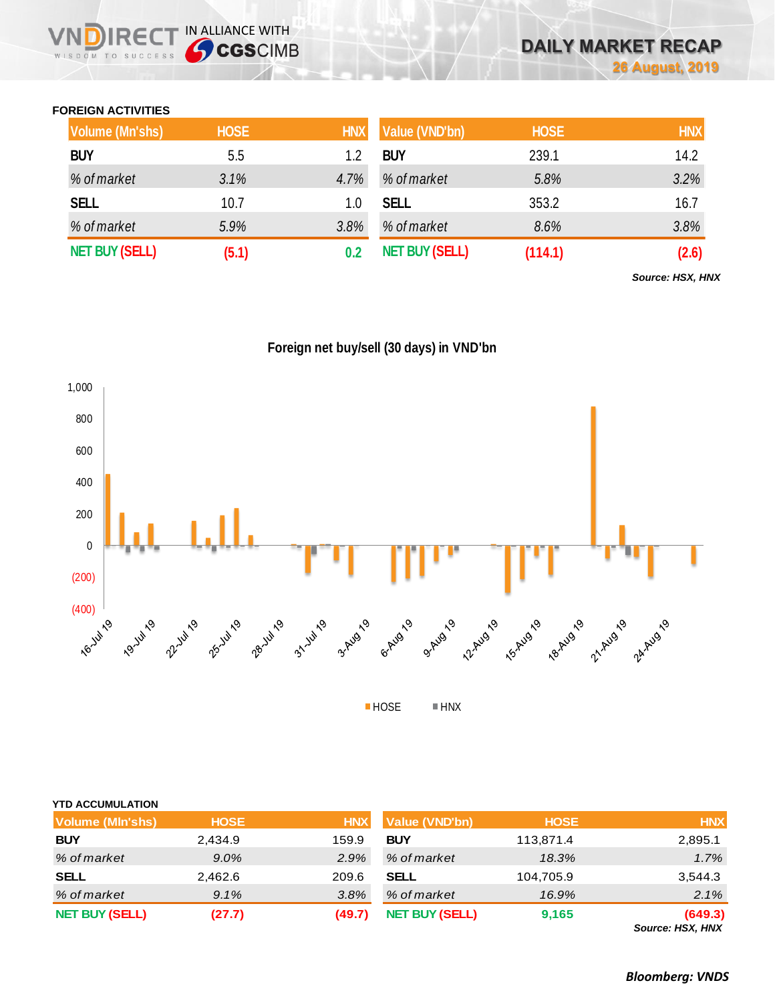## **FOREIGN ACTIVITIES**

WISDOM TO SUCCESS

 $R \in C$ 

IN ALLIANCE WITH

| <b>Volume (Mn'shs)</b> | <b>HOSE</b> | <b>HNX</b> | Value (VND'bn)        | <b>HOSE</b> | <b>HNX</b> |
|------------------------|-------------|------------|-----------------------|-------------|------------|
| <b>BUY</b>             | 5.5         | 1.2        | <b>BUY</b>            | 239.1       | 14.2       |
| % of market            | 3.1%        | 4.7%       | % of market           | 5.8%        | 3.2%       |
| <b>SELL</b>            | 10.7        | 1.0        | <b>SELL</b>           | 353.2       | 16.7       |
| % of market            | 5.9%        | 3.8%       | % of market           | 8.6%        | 3.8%       |
| <b>NET BUY (SELL)</b>  | (5.1)       | 0.2        | <b>NET BUY (SELL)</b> | (114.1)     | (2.6)      |

*Source: HSX, HNX*





| <b>YTD ACCUMULATION</b> |             |            |                       |             |                                    |
|-------------------------|-------------|------------|-----------------------|-------------|------------------------------------|
| <b>Volume (MIn'shs)</b> | <b>HOSE</b> | <b>HNX</b> | <b>Value (VND'bn)</b> | <b>HOSE</b> | <b>HNX</b>                         |
| <b>BUY</b>              | 2,434.9     | 159.9      | <b>BUY</b>            | 113,871.4   | 2,895.1                            |
| % of market             | 9.0%        | 2.9%       | % of market           | 18.3%       | 1.7%                               |
| <b>SELL</b>             | 2,462.6     | 209.6      | <b>SELL</b>           | 104,705.9   | 3,544.3                            |
| % of market             | 9.1%        | 3.8%       | % of market           | 16.9%       | 2.1%                               |
| <b>NET BUY (SELL)</b>   | (27.7)      | (49.7)     | <b>NET BUY (SELL)</b> | 9,165       | (649.3)<br><b>Source: HSX, HNX</b> |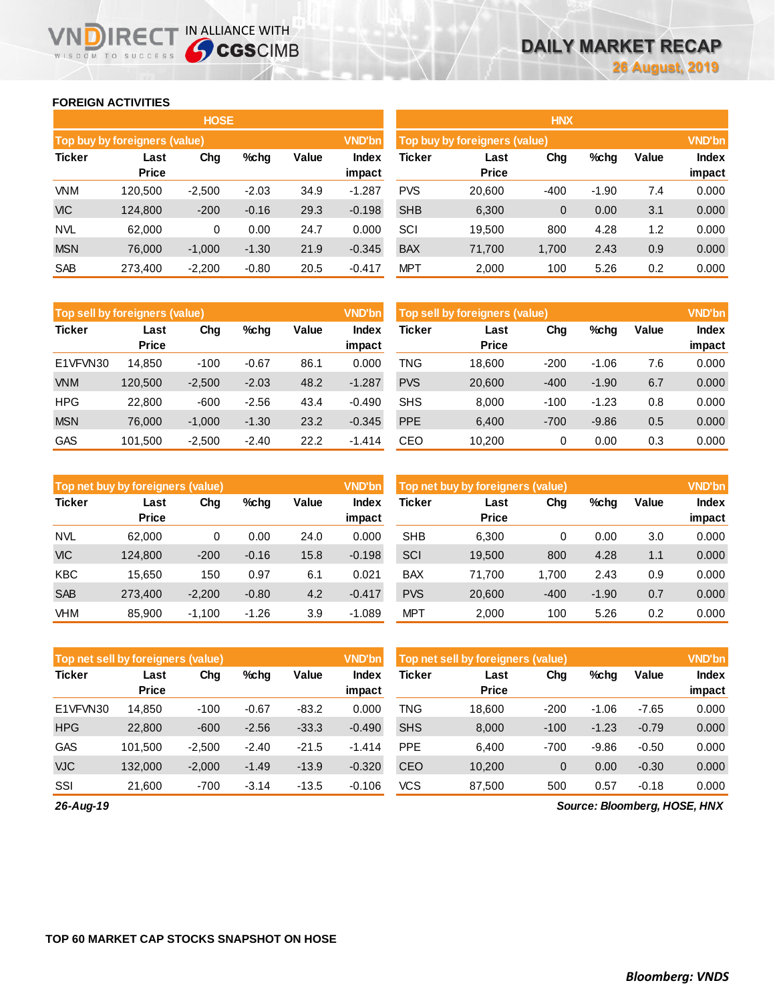### **FOREIGN ACTIVITIES**

WISDOM TO SUCCESS

**VNDIRECT IN ALLIANCE WITH** 

|               |                               | <b>HOSE</b> |         |       |                 |            |                               | <b>HNX</b>  |         |       |                        |
|---------------|-------------------------------|-------------|---------|-------|-----------------|------------|-------------------------------|-------------|---------|-------|------------------------|
|               | Top buy by foreigners (value) |             |         |       | <b>VND'bn</b>   |            | Top buy by foreigners (value) |             |         |       | <b>VND'bn</b>          |
| <b>Ticker</b> | Last<br><b>Price</b>          | Chg         | %chg    | Value | Index<br>impact | Ticker     | Last<br><b>Price</b>          | Chg         | %chg    | Value | <b>Index</b><br>impact |
| <b>VNM</b>    | 120.500                       | $-2,500$    | $-2.03$ | 34.9  | $-1.287$        | <b>PVS</b> | 20,600                        | $-400$      | $-1.90$ | 7.4   | 0.000                  |
| <b>VIC</b>    | 124,800                       | $-200$      | $-0.16$ | 29.3  | $-0.198$        | <b>SHB</b> | 6,300                         | $\mathbf 0$ | 0.00    | 3.1   | 0.000                  |
| <b>NVL</b>    | 62,000                        | 0           | 0.00    | 24.7  | 0.000           | SCI        | 19.500                        | 800         | 4.28    | 1.2   | 0.000                  |
| <b>MSN</b>    | 76,000                        | $-1,000$    | $-1.30$ | 21.9  | $-0.345$        | <b>BAX</b> | 71,700                        | 1,700       | 2.43    | 0.9   | 0.000                  |
| <b>SAB</b>    | 273,400                       | $-2,200$    | $-0.80$ | 20.5  | $-0.417$        | <b>MPT</b> | 2,000                         | 100         | 5.26    | 0.2   | 0.000                  |

|               | <b>Top sell by foreigners (value)</b> |          |         |       |                        | Top sell by foreigners (value) |                      | <b>VND'bn</b> |         |       |                        |
|---------------|---------------------------------------|----------|---------|-------|------------------------|--------------------------------|----------------------|---------------|---------|-------|------------------------|
| <b>Ticker</b> | Last<br><b>Price</b>                  | Chg      | %chg    | Value | <b>Index</b><br>impact | <b>Ticker</b>                  | Last<br><b>Price</b> | Chg           | %chg    | Value | <b>Index</b><br>impact |
| E1VFVN30      | 14.850                                | $-100$   | $-0.67$ | 86.1  | 0.000                  | TNG                            | 18.600               | $-200$        | $-1.06$ | 7.6   | 0.000                  |
| <b>VNM</b>    | 120.500                               | $-2,500$ | $-2.03$ | 48.2  | $-1.287$               | <b>PVS</b>                     | 20,600               | $-400$        | $-1.90$ | 6.7   | 0.000                  |
| <b>HPG</b>    | 22,800                                | $-600$   | $-2.56$ | 43.4  | $-0.490$               | <b>SHS</b>                     | 8,000                | $-100$        | $-1.23$ | 0.8   | 0.000                  |
| <b>MSN</b>    | 76,000                                | $-1,000$ | $-1.30$ | 23.2  | $-0.345$               | <b>PPE</b>                     | 6,400                | $-700$        | $-9.86$ | 0.5   | 0.000                  |
| <b>GAS</b>    | 101,500                               | $-2,500$ | $-2.40$ | 22.2  | $-1.414$               | CEO                            | 10,200               | 0             | 0.00    | 0.3   | 0.000                  |

|               | Top net buy by foreigners (value) |          |         |       |                 | Top net buy by foreigners (value) |                      | <b>VND'bn</b> |         |       |                        |
|---------------|-----------------------------------|----------|---------|-------|-----------------|-----------------------------------|----------------------|---------------|---------|-------|------------------------|
| <b>Ticker</b> | Last<br><b>Price</b>              | Chg      | $%$ chq | Value | Index<br>impact | Ticker                            | Last<br><b>Price</b> | Chg           | %chg    | Value | <b>Index</b><br>impact |
| <b>NVL</b>    | 62,000                            | 0        | 0.00    | 24.0  | 0.000           | <b>SHB</b>                        | 6,300                | 0             | 0.00    | 3.0   | 0.000                  |
| <b>VIC</b>    | 124.800                           | $-200$   | $-0.16$ | 15.8  | $-0.198$        | SCI                               | 19,500               | 800           | 4.28    | 1.1   | 0.000                  |
| <b>KBC</b>    | 15.650                            | 150      | 0.97    | 6.1   | 0.021           | <b>BAX</b>                        | 71.700               | 1.700         | 2.43    | 0.9   | 0.000                  |
| <b>SAB</b>    | 273,400                           | $-2,200$ | $-0.80$ | 4.2   | $-0.417$        | <b>PVS</b>                        | 20,600               | $-400$        | $-1.90$ | 0.7   | 0.000                  |
| VHM           | 85,900                            | $-1.100$ | $-1.26$ | 3.9   | $-1.089$        | <b>MPT</b>                        | 2.000                | 100           | 5.26    | 0.2   | 0.000                  |

| Top net sell by foreigners (value) |                      |          |         |         | <b>VND'bn</b>   | Top net sell by foreigners (value) |                      | <b>VND'bn</b> |         |         |                 |
|------------------------------------|----------------------|----------|---------|---------|-----------------|------------------------------------|----------------------|---------------|---------|---------|-----------------|
| <b>Ticker</b>                      | Last<br><b>Price</b> | Chg      | %chg    | Value   | Index<br>impact | Ticker                             | Last<br><b>Price</b> | Chg           | %chg    | Value   | Index<br>impact |
| E1VFVN30                           | 14,850               | $-100$   | $-0.67$ | $-83.2$ | 0.000           | TNG                                | 18.600               | $-200$        | $-1.06$ | $-7.65$ | 0.000           |
| <b>HPG</b>                         | 22,800               | $-600$   | $-2.56$ | $-33.3$ | $-0.490$        | <b>SHS</b>                         | 8,000                | $-100$        | $-1.23$ | $-0.79$ | 0.000           |
| <b>GAS</b>                         | 101.500              | $-2,500$ | $-2.40$ | $-21.5$ | $-1.414$        | <b>PPE</b>                         | 6.400                | $-700$        | $-9.86$ | $-0.50$ | 0.000           |
| <b>VJC</b>                         | 132.000              | $-2,000$ | $-1.49$ | $-13.9$ | $-0.320$        | <b>CEO</b>                         | 10,200               | $\mathbf{0}$  | 0.00    | $-0.30$ | 0.000           |
| SSI                                | 21,600               | $-700$   | $-3.14$ | $-13.5$ | $-0.106$        | <b>VCS</b>                         | 87,500               | 500           | 0.57    | $-0.18$ | 0.000           |

*26-Aug-19*

*Source: Bloomberg, HOSE, HNX*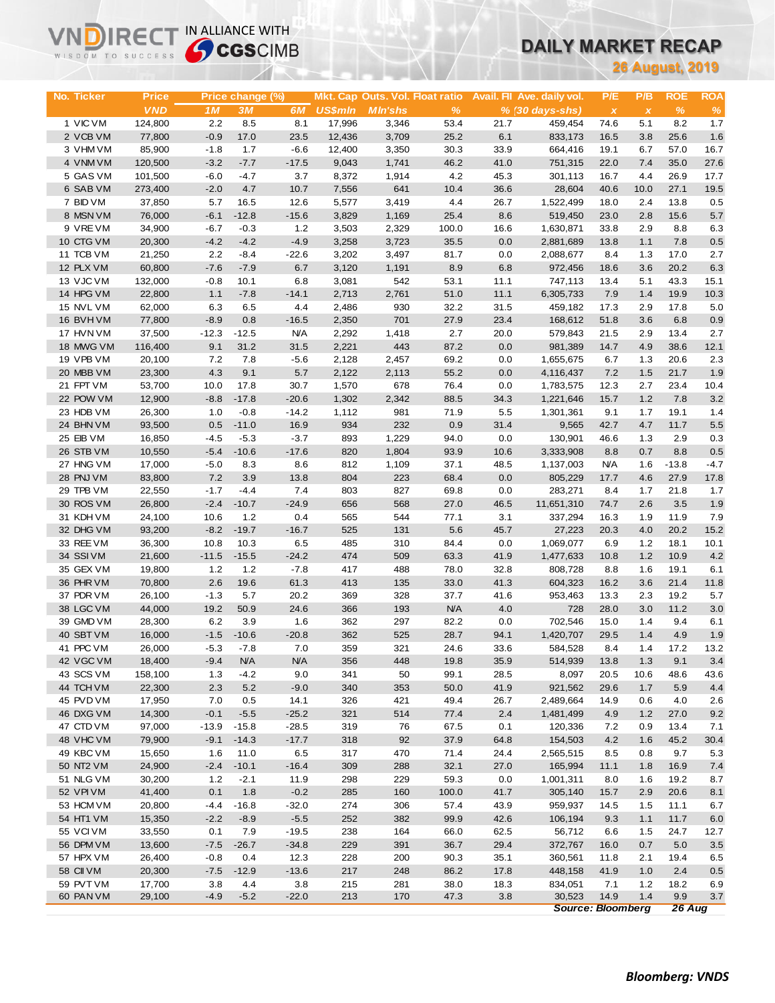# **DAILY MARKET RECAP**

| WISDOM TO SUCCESS      |                   | <b>Sy CGS</b> CIMB |                  |                   |                 |                                 |              |              | UAILT MARNET RECAP         |                          |              |                        |             |
|------------------------|-------------------|--------------------|------------------|-------------------|-----------------|---------------------------------|--------------|--------------|----------------------------|--------------------------|--------------|------------------------|-------------|
|                        |                   |                    |                  |                   |                 |                                 |              |              |                            |                          |              | <b>26 August, 2019</b> |             |
|                        |                   |                    |                  |                   |                 |                                 |              |              |                            |                          |              |                        |             |
| No. Ticker             | <b>Price</b>      |                    | Price change (%) |                   |                 | Mkt. Cap Outs. Vol. Float ratio |              |              | Avail. Fil Ave. daily vol. | P/E                      | P/B          | <b>ROE</b>             | <b>ROA</b>  |
|                        | <b>VND</b>        | 1 <sub>M</sub>     | 3M               | 6M                | <b>US\$mln</b>  | <b>MIn'shs</b>                  | %            |              | % (30 days-shs)            | $\pmb{\chi}$             | $\pmb{\chi}$ | $\%$                   | $\%$        |
| 1 VIC VM               | 124,800           | 2.2                | 8.5              | 8.1               | 17,996          | 3,346                           | 53.4         | 21.7         | 459,454                    | 74.6                     | 5.1          | 8.2                    | 1.7         |
| 2 VCB VM               | 77,800            | $-0.9$<br>$-1.8$   | 17.0<br>1.7      | 23.5<br>$-6.6$    | 12,436          | 3,709                           | 25.2         | 6.1<br>33.9  | 833,173                    | 16.5<br>19.1             | 3.8<br>6.7   | 25.6<br>57.0           | 1.6<br>16.7 |
| 3 VHM VM<br>4 VNM VM   | 85,900<br>120,500 | $-3.2$             | $-7.7$           | $-17.5$           | 12,400<br>9,043 | 3,350<br>1,741                  | 30.3<br>46.2 | 41.0         | 664,416<br>751,315         | 22.0                     | 7.4          | 35.0                   | 27.6        |
| 5 GAS VM               | 101,500           | $-6.0$             | $-4.7$           | 3.7               | 8,372           | 1,914                           | 4.2          | 45.3         | 301,113                    | 16.7                     | 4.4          | 26.9                   | 17.7        |
| 6 SAB VM               | 273,400           | $-2.0$             | 4.7              | 10.7              | 7,556           | 641                             | 10.4         | 36.6         | 28,604                     | 40.6                     | 10.0         | 27.1                   | 19.5        |
| 7 BID VM               | 37,850            | 5.7                | 16.5             | 12.6              | 5,577           | 3,419                           | 4.4          | 26.7         | 1,522,499                  | 18.0                     | 2.4          | 13.8                   | 0.5         |
| 8 MSN VM               | 76,000            | $-6.1$             | $-12.8$          | $-15.6$           | 3,829           | 1,169                           | 25.4         | 8.6          | 519,450                    | 23.0                     | 2.8          | 15.6                   | 5.7         |
| 9 VREVM                | 34,900            | $-6.7$             | $-0.3$           | 1.2               | 3,503           | 2,329                           | 100.0        | 16.6         | 1,630,871                  | 33.8                     | 2.9          | 8.8                    | 6.3         |
| 10 CTG VM              | 20,300            | $-4.2$             | $-4.2$           | $-4.9$            | 3,258           | 3,723                           | 35.5         | 0.0          | 2,881,689                  | 13.8                     | 1.1          | 7.8                    | $0.5\,$     |
| 11 TCB VM              | 21,250            | 2.2                | $-8.4$           | $-22.6$           | 3,202           | 3,497                           | 81.7         | 0.0          | 2,088,677                  | 8.4                      | 1.3          | 17.0                   | 2.7         |
| 12 PLX VM              | 60,800            | $-7.6$             | $-7.9$           | 6.7               | 3,120           | 1,191                           | 8.9          | 6.8          | 972,456                    | 18.6                     | 3.6          | 20.2                   | 6.3         |
| 13 VJC VM              | 132,000           | $-0.8$             | 10.1             | 6.8               | 3,081           | 542                             | 53.1         | 11.1         | 747,113                    | 13.4                     | 5.1          | 43.3                   | 15.1        |
| 14 HPG VM              | 22,800            | 1.1                | $-7.8$           | $-14.1$           | 2,713           | 2,761                           | 51.0         | 11.1         | 6,305,733                  | 7.9                      | 1.4          | 19.9                   | 10.3        |
| 15 NVL VM              | 62,000            | 6.3                | 6.5              | 4.4               | 2,486           | 930                             | 32.2         | 31.5         | 459,182                    | 17.3                     | 2.9          | 17.8                   | 5.0         |
| 16 BVH VM              | 77,800            | $-8.9$             | 0.8              | $-16.5$           | 2,350           | 701                             | 27.9         | 23.4         | 168,612                    | 51.8                     | 3.6          | 6.8                    | 0.9         |
| 17 HVN VM              | 37,500            | $-12.3$            | $-12.5$          | <b>N/A</b>        | 2,292           | 1,418                           | 2.7          | 20.0         | 579,843                    | 21.5                     | 2.9          | 13.4                   | 2.7         |
| 18 MWG VM              | 116,400           | 9.1                | 31.2             | 31.5              | 2,221           | 443                             | 87.2         | 0.0          | 981,389                    | 14.7                     | 4.9          | 38.6                   | 12.1        |
| 19 VPB VM              | 20,100            | 7.2                | 7.8              | $-5.6$            | 2,128           | 2,457                           | 69.2         | 0.0          | 1,655,675                  | 6.7                      | 1.3          | 20.6                   | 2.3         |
| 20 MBB VM<br>21 FPT VM | 23,300<br>53,700  | 4.3<br>10.0        | 9.1<br>17.8      | 5.7<br>30.7       | 2,122<br>1,570  | 2,113<br>678                    | 55.2<br>76.4 | 0.0<br>0.0   | 4,116,437<br>1,783,575     | 7.2<br>12.3              | 1.5<br>2.7   | 21.7<br>23.4           | 1.9<br>10.4 |
| 22 POW VM              | 12,900            | $-8.8$             | $-17.8$          | $-20.6$           | 1,302           | 2,342                           | 88.5         | 34.3         | 1,221,646                  | 15.7                     | 1.2          | 7.8                    | 3.2         |
| 23 HDB VM              | 26,300            | 1.0                | $-0.8$           | $-14.2$           | 1,112           | 981                             | 71.9         | 5.5          | 1,301,361                  | 9.1                      | 1.7          | 19.1                   | 1.4         |
| 24 BHN VM              | 93,500            | 0.5                | $-11.0$          | 16.9              | 934             | 232                             | 0.9          | 31.4         | 9,565                      | 42.7                     | 4.7          | 11.7                   | 5.5         |
| 25 EIB VM              | 16,850            | $-4.5$             | $-5.3$           | $-3.7$            | 893             | 1,229                           | 94.0         | 0.0          | 130,901                    | 46.6                     | 1.3          | 2.9                    | 0.3         |
| 26 STB VM              | 10,550            | $-5.4$             | $-10.6$          | $-17.6$           | 820             | 1,804                           | 93.9         | 10.6         | 3,333,908                  | 8.8                      | 0.7          | 8.8                    | 0.5         |
| 27 HNG VM              | 17,000            | $-5.0$             | 8.3              | 8.6               | 812             | 1,109                           | 37.1         | 48.5         | 1,137,003                  | <b>N/A</b>               | 1.6          | $-13.8$                | $-4.7$      |
| 28 PNJ VM              | 83,800            | 7.2                | 3.9              | 13.8              | 804             | 223                             | 68.4         | 0.0          | 805,229                    | 17.7                     | 4.6          | 27.9                   | 17.8        |
| 29 TPB VM              | 22,550            | $-1.7$             | $-4.4$           | 7.4               | 803             | 827                             | 69.8         | 0.0          | 283,271                    | 8.4                      | 1.7          | 21.8                   | 1.7         |
| 30 ROS VM              | 26,800            | $-2.4$             | $-10.7$          | $-24.9$           | 656             | 568                             | 27.0         | 46.5         | 11,651,310                 | 74.7                     | 2.6          | 3.5                    | 1.9         |
| 31 KDH VM              | 24,100            | 10.6               | 1.2              | 0.4               | 565             | 544                             | 77.1         | 3.1          | 337,294                    | 16.3                     | 1.9          | 11.9                   | 7.9         |
| 32 DHG VM              | 93,200            | $-8.2$             | $-19.7$          | $-16.7$           | 525             | 131                             | 5.6          | 45.7         | 27,223                     | 20.3                     | 4.0          | 20.2                   | 15.2        |
| 33 REE VM              | 36,300            | 10.8               | 10.3             | 6.5               | 485             | 310                             | 84.4         | 0.0          | 1,069,077                  | 6.9                      | 1.2          | 18.1                   | 10.1        |
| 34 SSIVM               | 21,600            | $-11.5$            | $-15.5$          | $-24.2$           | 474             | 509                             | 63.3         | 41.9         | 1,477,633                  | 10.8                     | 1.2          | 10.9                   | 4.2         |
| 35 GEX VM              | 19,800            | 1.2                | 1.2              | $-7.8$            | 417             | 488                             | 78.0         | 32.8         | 808,728                    | 8.8                      | 1.6          | 19.1                   | 6.1         |
| 36 PHR VM<br>37 PDR VM | 70,800<br>26,100  | 2.6<br>$-1.3$      | 19.6<br>5.7      | 61.3<br>20.2      | 413<br>369      | 135<br>328                      | 33.0<br>37.7 | 41.3         | 604,323                    | 16.2                     | 3.6<br>2.3   | 21.4<br>19.2           | 11.8<br>5.7 |
| 38 LGC VM              | 44,000            | 19.2               | 50.9             | 24.6              | 366             | 193                             | <b>N/A</b>   | 41.6<br>4.0  | 953,463<br>728             | 13.3<br>28.0             | 3.0          | 11.2                   | 3.0         |
| 39 GMD VM              | 28,300            | 6.2                | 3.9              | 1.6               | 362             | 297                             | 82.2         | 0.0          | 702,546                    | 15.0                     | 1.4          | 9.4                    | 6.1         |
| 40 SBT VM              | 16,000            | $-1.5$             | $-10.6$          | $-20.8$           | 362             | 525                             | 28.7         | 94.1         | 1,420,707                  | 29.5                     | 1.4          | 4.9                    | 1.9         |
| 41 PPC VM              | 26,000            | $-5.3$             | $-7.8$           | 7.0               | 359             | 321                             | 24.6         | 33.6         | 584,528                    | 8.4                      | 1.4          | 17.2                   | 13.2        |
| 42 VGC VM              | 18,400            | $-9.4$             | <b>N/A</b>       | N/A               | 356             | 448                             | 19.8         | 35.9         | 514,939                    | 13.8                     | 1.3          | 9.1                    | $3.4\,$     |
| 43 SCS VM              | 158,100           | 1.3                | $-4.2$           | 9.0               | 341             | 50                              | 99.1         | 28.5         | 8,097                      | 20.5                     | 10.6         | 48.6                   | 43.6        |
| 44 TCH VM              | 22,300            | 2.3                | 5.2              | $-9.0$            | 340             | 353                             | 50.0         | 41.9         | 921,562                    | 29.6                     | 1.7          | 5.9                    | 4.4         |
| 45 PVD VM              | 17,950            | 7.0                | 0.5              | 14.1              | 326             | 421                             | 49.4         | 26.7         | 2,489,664                  | 14.9                     | 0.6          | 4.0                    | 2.6         |
| 46 DXG VM              | 14,300            | $-0.1$             | $-5.5$           | $-25.2$           | 321             | 514                             | 77.4         | 2.4          | 1,481,499                  | 4.9                      | 1.2          | 27.0                   | 9.2         |
| 47 CTD VM              | 97,000            | $-13.9$            | $-15.8$          | $-28.5$           | 319             | 76                              | 67.5         | 0.1          | 120,336                    | 7.2                      | 0.9          | 13.4                   | 7.1         |
| 48 VHC VM              | 79,900            | $-9.1$             | $-14.3$          | $-17.7$           | 318             | 92                              | 37.9         | 64.8         | 154,503                    | 4.2                      | 1.6          | 45.2                   | 30.4        |
| 49 KBC VM              | 15,650            | 1.6                | 11.0             | 6.5               | 317             | 470                             | 71.4         | 24.4         | 2,565,515                  | 8.5                      | 0.8          | 9.7                    | 5.3         |
| 50 NT2 VM              | 24,900            | $-2.4$             | $-10.1$          | $-16.4$           | 309             | 288                             | 32.1         | 27.0         | 165,994                    | 11.1                     | 1.8          | 16.9                   | 7.4         |
| 51 NLG VM              | 30,200            | $1.2$              | $-2.1$           | 11.9              | 298             | 229                             | 59.3         | 0.0          | 1,001,311                  | 8.0                      | 1.6          | 19.2                   | 8.7         |
| 52 VPIVM               | 41,400            | 0.1                | 1.8              | $-0.2$            | 285             | 160                             | 100.0        | 41.7         | 305,140                    | 15.7                     | 2.9          | 20.6                   | 8.1         |
| 53 HCM VM              | 20,800            | -4.4               | $-16.8$          | $-32.0$           | 274             | 306                             | 57.4         | 43.9         | 959,937                    | 14.5                     | 1.5          | 11.1                   | 6.7         |
| 54 HT1 VM<br>55 VCIVM  | 15,350<br>33,550  | $-2.2$<br>0.1      | $-8.9$<br>7.9    | $-5.5$<br>$-19.5$ | 252<br>238      | 382<br>164                      | 99.9<br>66.0 | 42.6<br>62.5 | 106,194<br>56,712          | 9.3<br>6.6               | 1.1<br>1.5   | 11.7<br>24.7           | 6.0<br>12.7 |
| 56 DPM VM              | 13,600            | $-7.5$             | $-26.7$          | $-34.8$           | 229             | 391                             | 36.7         | 29.4         | 372,767                    | 16.0                     | 0.7          | 5.0                    | 3.5         |
| 57 HPX VM              | 26,400            | $-0.8$             | 0.4              | 12.3              | 228             | 200                             | 90.3         | 35.1         | 360,561                    | 11.8                     | 2.1          | 19.4                   | 6.5         |
| 58 CII VM              | 20,300            | $-7.5$             | $-12.9$          | $-13.6$           | 217             | 248                             | 86.2         | 17.8         | 448,158                    | 41.9                     | 1.0          | 2.4                    | 0.5         |
| 59 PVT VM              | 17,700            | 3.8                | 4.4              | 3.8               | 215             | 281                             | 38.0         | 18.3         | 834,051                    | 7.1                      | $1.2$        | 18.2                   | 6.9         |
| 60 PAN VM              | 29,100            | $-4.9$             | $-5.2$           | $-22.0$           | 213             | 170                             | 47.3         | 3.8          | 30,523                     | 14.9                     | 1.4          | 9.9                    | 3.7         |
|                        |                   |                    |                  |                   |                 |                                 |              |              |                            | <b>Source: Bloomberg</b> |              | 26 Aug                 |             |

**VNDIRECT IN ALLIANCE WITH**